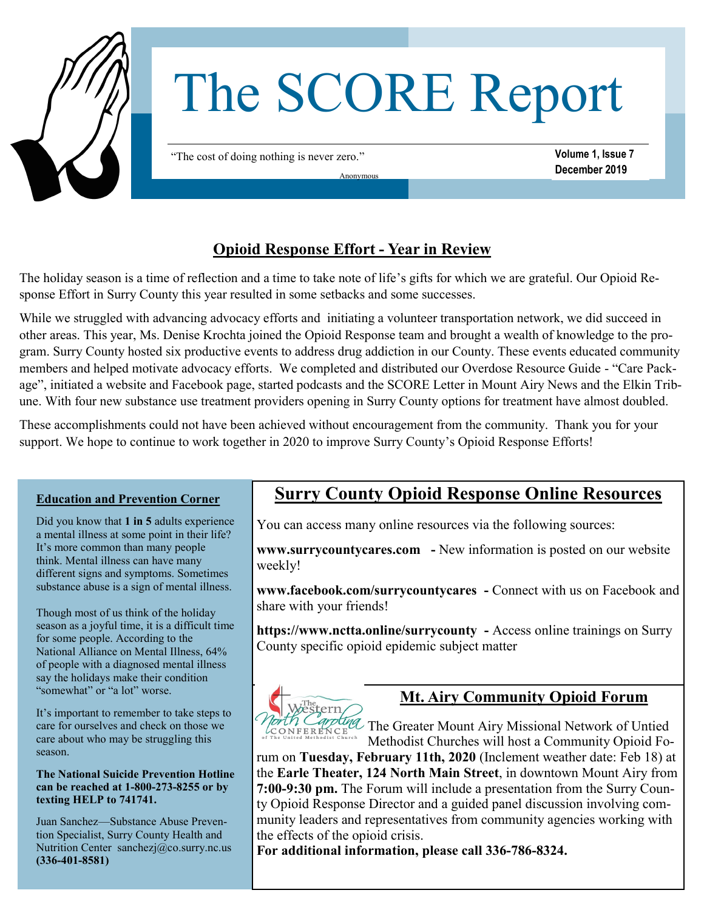

# The SCORE Report

"The cost of doing nothing is never zero."

**Volume 1, Issue 7 December 2019**

## **Opioid Response Effort - Year in Review**

Anonymous

The holiday season is a time of reflection and a time to take note of life's gifts for which we are grateful. Our Opioid Response Effort in Surry County this year resulted in some setbacks and some successes.

While we struggled with advancing advocacy efforts and initiating a volunteer transportation network, we did succeed in other areas. This year, Ms. Denise Krochta joined the Opioid Response team and brought a wealth of knowledge to the program. Surry County hosted six productive events to address drug addiction in our County. These events educated community members and helped motivate advocacy efforts. We completed and distributed our Overdose Resource Guide - "Care Package", initiated a website and Facebook page, started podcasts and the SCORE Letter in Mount Airy News and the Elkin Tribune. With four new substance use treatment providers opening in Surry County options for treatment have almost doubled.

These accomplishments could not have been achieved without encouragement from the community. Thank you for your support. We hope to continue to work together in 2020 to improve Surry County's Opioid Response Efforts!

### **Education and Prevention Corner**

Did you know that **1 in 5** adults experience a mental illness at some point in their life? It's more common than many people think. Mental illness can have many different signs and symptoms. Sometimes substance abuse is a sign of mental illness.

Though most of us think of the holiday season as a joyful time, it is a difficult time for some people. According to the National Alliance on Mental Illness, 64% of people with a diagnosed mental illness say the holidays make their condition "somewhat" or "a lot" worse.

It's important to remember to take steps to care for ourselves and check on those we care about who may be struggling this season.

**The National Suicide Prevention Hotline can be reached at 1-800-273-8255 or by texting HELP to 741741.**

Juan Sanchez—Substance Abuse Prevention Specialist, Surry County Health and Nutrition Center sanchezj@co.surry.nc.us **(336-401-8581)**

# **Surry County Opioid Response Online Resources**

You can access many online resources via the following sources:

**www.surrycountycares.com -** New information is posted on our website weekly!

**www.facebook.com/surrycountycares -** Connect with us on Facebook and share with your friends!

**https://www.nctta.online/surrycounty -** Access online trainings on Surry County specific opioid epidemic subject matter



## **Mt. Airy Community Opioid Forum**

Torth Carpting The Greater Mount Airy Missional Network of Untied<br>CONFERENCE Methodist Churches will host a Community Opioid Fo-Methodist Churches will host a Community Opioid Fo-

rum on **Tuesday, February 11th, 2020** (Inclement weather date: Feb 18) at the **Earle Theater, 124 North Main Street**, in downtown Mount Airy from **7:00-9:30 pm.** The Forum will include a presentation from the Surry County Opioid Response Director and a guided panel discussion involving community leaders and representatives from community agencies working with the effects of the opioid crisis.

**For additional information, please call 336-786-8324.**